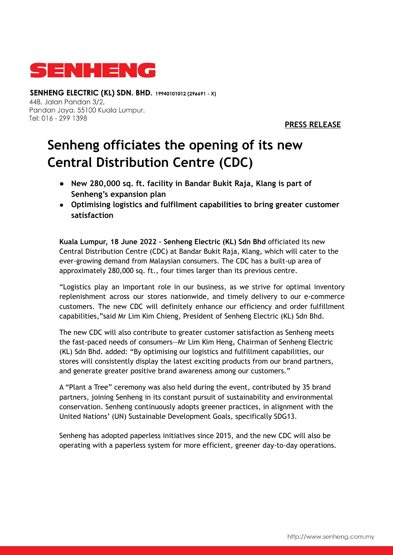

SENHENG ELECTRIC (KL) SDN. BHD. 19940101012 (296691 - X) 44B. Jalan Pandan 3/2. Pandan Jaya, 55100 Kuala Lumpur. Tel: 016 - 299 1398

**PRESS RELEASE**

## **Senheng officiates the opening of its new Central Distribution Centre (CDC)**

- **● New 280,000 sq. ft. facility in Bandar Bukit Raja, Klang is part of Senheng's expansion plan**
- **Optimising logistics and fulfilment capabilities to bring greater customer satisfaction**

**Kuala Lumpur, 18 June 2022 – Senheng Electric (KL) Sdn Bhd** officiated its new Central Distribution Centre (CDC) at Bandar Bukit Raja, Klang, which will cater to the ever-growing demand from Malaysian consumers. The CDC has a built-up area of approximately 280,000 sq. ft., four times larger than its previous centre.

"Logistics play an important role in our business, as we strive for optimal inventory replenishment across our stores nationwide, and timely delivery to our e-commerce customers. The new CDC will definitely enhance our efficiency and order fulfillment capabilities,"said Mr Lim Kim Chieng, President of Senheng Electric (KL) Sdn Bhd.

The new CDC will also contribute to greater customer satisfaction as Senheng meets the fast-paced needs of consumers—Mr Lim Kim Heng, Chairman of Senheng Electric (KL) Sdn Bhd. added: "By optimising our logistics and fulfillment capabilities, our stores will consistently display the latest exciting products from our brand partners, and generate greater positive brand awareness among our customers."

A "Plant a Tree" ceremony was also held during the event, contributed by 35 brand partners, joining Senheng in its constant pursuit of sustainability and environmental conservation. Senheng continuously adopts greener practices, in alignment with the United Nations' (UN) Sustainable Development Goals, specifically SDG13.

Senheng has adopted paperless initiatives since 2015, and the new CDC will also be operating with a paperless system for more efficient, greener day-to-day operations.